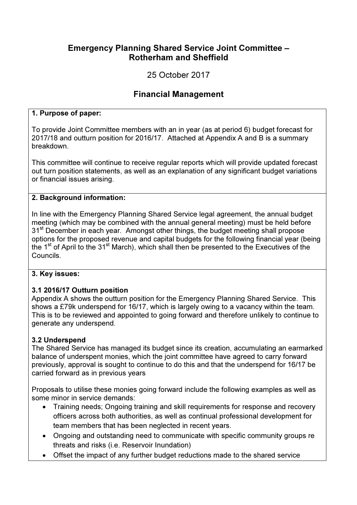## Emergency Planning Shared Service Joint Committee – Rotherham and Sheffield

25 October 2017

# Financial Management

#### 1. Purpose of paper:

To provide Joint Committee members with an in year (as at period 6) budget forecast for 2017/18 and outturn position for 2016/17. Attached at Appendix A and B is a summary breakdown.

This committee will continue to receive regular reports which will provide updated forecast out turn position statements, as well as an explanation of any significant budget variations or financial issues arising.

#### 2. Background information:

In line with the Emergency Planning Shared Service legal agreement, the annual budget meeting (which may be combined with the annual general meeting) must be held before 31<sup>st</sup> December in each year. Amongst other things, the budget meeting shall propose options for the proposed revenue and capital budgets for the following financial year (being the 1<sup>st</sup> of April to the 31<sup>st</sup> March), which shall then be presented to the Executives of the Councils.

#### 3. Key issues:

#### 3.1 2016/17 Outturn position

Appendix A shows the outturn position for the Emergency Planning Shared Service. This shows a £79k underspend for 16/17, which is largely owing to a vacancy within the team. This is to be reviewed and appointed to going forward and therefore unlikely to continue to generate any underspend.

#### 3.2 Underspend

The Shared Service has managed its budget since its creation, accumulating an earmarked balance of underspent monies, which the joint committee have agreed to carry forward previously, approval is sought to continue to do this and that the underspend for 16/17 be carried forward as in previous years

Proposals to utilise these monies going forward include the following examples as well as some minor in service demands:

- Training needs; Ongoing training and skill requirements for response and recovery officers across both authorities, as well as continual professional development for team members that has been neglected in recent years.
- Ongoing and outstanding need to communicate with specific community groups re threats and risks (i.e. Reservoir Inundation)
- Offset the impact of any further budget reductions made to the shared service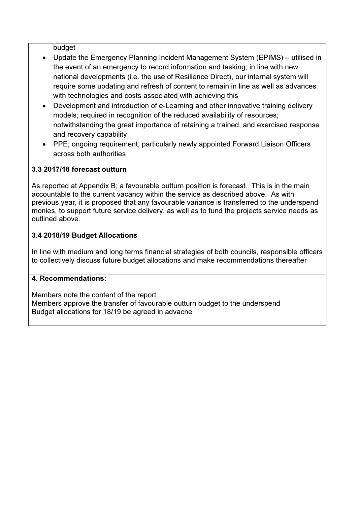budget

- Update the Emergency Planning Incident Management System (EPIMS) utilised in the event of an emergency to record information and tasking; in line with new national developments (i.e. the use of Resilience Direct), our internal system will require some updating and refresh of content to remain in line as well as advances with technologies and costs associated with achieving this
- Development and introduction of e-Learning and other innovative training delivery models; required in recognition of the reduced availability of resources; notwithstanding the great importance of retaining a trained, and exercised response and recovery capability
- PPE; ongoing requirement, particularly newly appointed Forward Liaison Officers across both authorities

### 3.3 2017/18 forecast outturn

As reported at Appendix B; a favourable outturn position is forecast. This is in the main accountable to the current vacancy within the service as described above. As with previous year, it is proposed that any favourable variance is transferred to the underspend monies, to support future service delivery, as well as to fund the projects service needs as outlined above.

## 3.4 2018/19 Budget Allocations

In line with medium and long terms financial strategies of both councils, responsible officers to collectively discuss future budget allocations and make recommendations thereafter

#### 4. Recommendations:

Members note the content of the report Members approve the transfer of favourable outturn budget to the underspend Budget allocations for 18/19 be agreed in advacne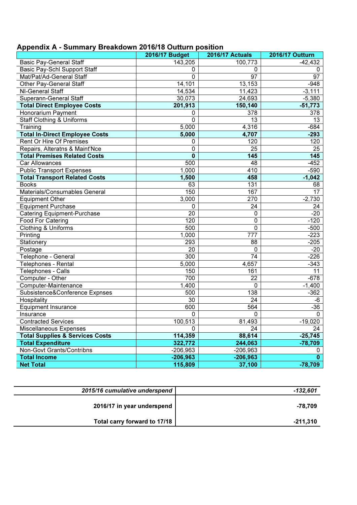| Appendix A - Summary Breakdown 2016/18 Outturn position |  |  |  |
|---------------------------------------------------------|--|--|--|
|---------------------------------------------------------|--|--|--|

| Productive American                                                   | <b>2016/17 Budget</b> | <b>2016/17 Actuals</b> | <b>2016/17 Outturn</b> |
|-----------------------------------------------------------------------|-----------------------|------------------------|------------------------|
|                                                                       |                       |                        |                        |
| <b>Basic Pay-General Staff</b><br><b>Basic Pay-Schl Support Staff</b> | 143,205               | 100,773<br>0           | $-42,432$              |
| Mat/Pat/Ad-General Staff                                              | 0<br>0                | 97                     | 0<br>$\overline{97}$   |
|                                                                       |                       | 13,153                 | $-948$                 |
| Other Pay-General Staff                                               | 14,101                |                        |                        |
| NI-General Staff                                                      | 14,534                | 11,423                 | $-3,111$               |
| Superann-General Staff                                                | 30,073                | 24,693                 | $-5,380$               |
| <b>Total Direct Employee Costs</b>                                    | 201,913               | 150,140                | $-51,773$              |
| Honorarium Payment                                                    | 0                     | $\overline{378}$       | 378                    |
| <b>Staff Clothing &amp; Uniforms</b>                                  | 0                     | 13                     | 13                     |
| Training                                                              | 5,000                 | 4,316                  | $-684$                 |
| <b>Total In-Direct Employee Costs</b>                                 | 5,000                 | 4,707                  | $-293$                 |
| Rent Or Hire Of Premises                                              | 0                     | 120                    | 120                    |
| Repairs, Alteratns & Maint'Nce                                        | 0                     | $\overline{25}$        | 25                     |
| <b>Total Premises Related Costs</b>                                   | $\bf{0}$              | 145                    | $\overline{145}$       |
| Car Allowances                                                        | 500                   | 48                     | $-452$                 |
| <b>Public Transport Expenses</b>                                      | 1,000                 | 410                    | $-590$                 |
| <b>Total Transport Related Costs</b>                                  | 1,500                 | 458                    | $-1,042$               |
| <b>Books</b>                                                          | 63                    | 131                    | 68                     |
| Materials/Consumables General                                         | 150                   | 167                    | $\overline{17}$        |
| <b>Equipment Other</b>                                                | 3,000                 | 270                    | $-2,730$               |
| <b>Equipment Purchase</b>                                             | 0                     | 24                     | 24                     |
| <b>Catering Equipment-Purchase</b>                                    | 20                    | 0                      | $-20$                  |
| <b>Food For Catering</b>                                              | 120                   | 0                      | $-120$                 |
| Clothing & Uniforms                                                   | 500                   | 0                      | $-500$                 |
| Printing                                                              | 1,000                 | $\overline{777}$       | $-223$                 |
| Stationery                                                            | 293                   | 88                     | $-205$                 |
| Postage                                                               | 20                    | 0                      | $-20$                  |
| Telephone - General                                                   | 300                   | $\overline{74}$        | $-226$                 |
| Telephones - Rental                                                   | 5,000                 | 4,657                  | $-343$                 |
| Telephones - Calls                                                    | 150                   | 161                    | 11                     |
| Computer - Other                                                      | 700                   | 22                     | $-678$                 |
| Computer-Maintenance                                                  | 1,400                 | 0                      | $-1,400$               |
| Subsistence&Conference Expnses                                        | 500                   | $\overline{138}$       | $-362$                 |
| Hospitality                                                           | 30                    | $\overline{24}$        | $-6$                   |
| <b>Equipment Insurance</b>                                            | 600                   | 564                    | $-36$                  |
| Insurance                                                             | 0                     | 0                      | $\mathbf 0$            |
| <b>Contracted Services</b>                                            | 100,513               | 81,493                 | $-19,020$              |
| Miscellaneous Expenses                                                | $\Omega$              | $\overline{24}$        | 24                     |
| <b>Total Supplies &amp; Services Costs</b>                            | 114,359               | 88,614                 | $-25,745$              |
| <b>Total Expenditure</b>                                              | 322,772               | 244,063                | $-78,709$              |
| Non-Govt Grants/Contribns                                             | $-206,963$            | $-206,963$             | 0                      |
| <b>Total Income</b>                                                   | $-206,963$            | $-206,963$             | $\mathbf{0}$           |
| <b>Net Total</b>                                                      | 115,809               | 37,100                 | $-78,709$              |

| -132,601   | 2015/16 cumulative underspend |
|------------|-------------------------------|
| -78.709    | 2016/17 in year underspend    |
| $-211,310$ | Total carry forward to 17/18  |